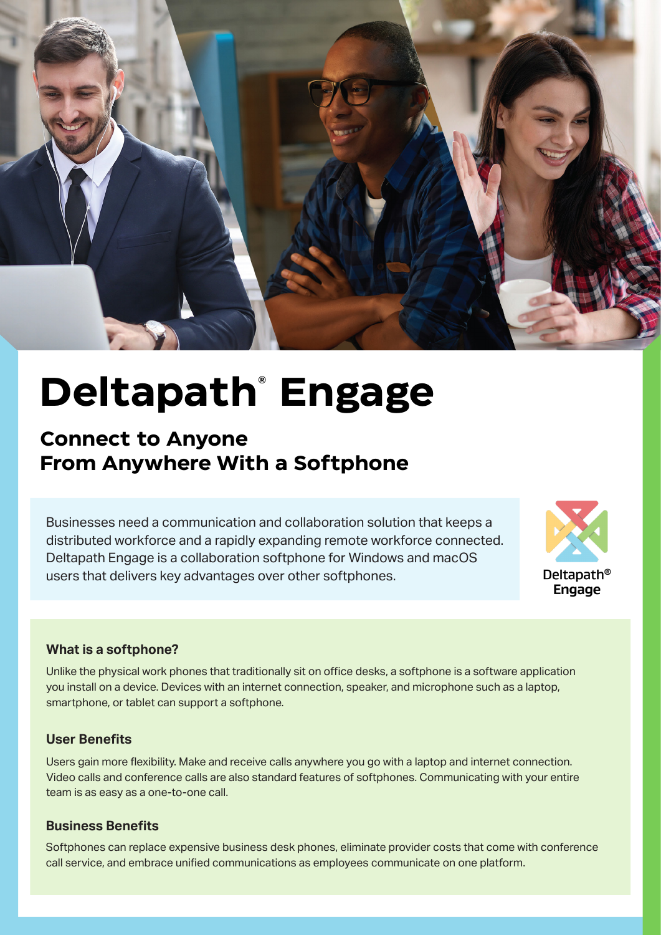

# **Deltapath® Engage**

# **Connect to Anyone From Anywhere With a Softphone**

Businesses need a communication and collaboration solution that keeps a distributed workforce and a rapidly expanding remote workforce connected. Deltapath Engage is a collaboration softphone for Windows and macOS users that delivers key advantages over other softphones.



#### **What is a softphone?**

Unlike the physical work phones that traditionally sit on office desks, a softphone is a software application you install on a device. Devices with an internet connection, speaker, and microphone such as a laptop, smartphone, or tablet can support a softphone.

#### **User Benefits**

Users gain more flexibility. Make and receive calls anywhere you go with a laptop and internet connection. Video calls and conference calls are also standard features of softphones. Communicating with your entire team is as easy as a one-to-one call.

#### **Business Benefits**

Softphones can replace expensive business desk phones, eliminate provider costs that come with conference call service, and embrace unified communications as employees communicate on one platform.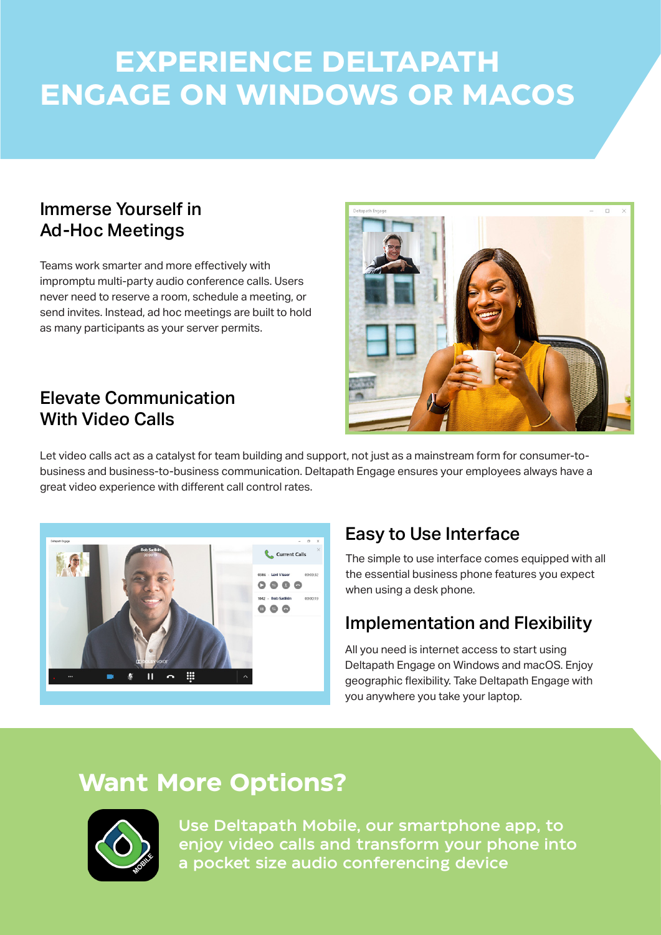# **EXPERIENCE DELTAPATH ENGAGE ON WINDOWS OR MACOS**

# Immerse Yourself in Ad-Hoc Meetings

Teams work smarter and more effectively with impromptu multi-party audio conference calls. Users never need to reserve a room, schedule a meeting, or send invites. Instead, ad hoc meetings are built to hold as many participants as your server permits.

# Elevate Communication With Video Calls

Let video calls act as a catalyst for team building and support, not just as a mainstream form for consumer-tobusiness and business-to-business communication. Deltapath Engage ensures your employees always have a great video experience with different call control rates.



# Easy to Use Interface

The simple to use interface comes equipped with all the essential business phone features you expect when using a desk phone.

# Implementation and Flexibility

All you need is internet access to start using Deltapath Engage on Windows and macOS. Enjoy geographic flexibility. Take Deltapath Engage with you anywhere you take your laptop.

# **Want More Options?**



Use Deltapath Mobile, our smartphone app, to enjoy video calls and transform your phone into a pocket size audio conferencing device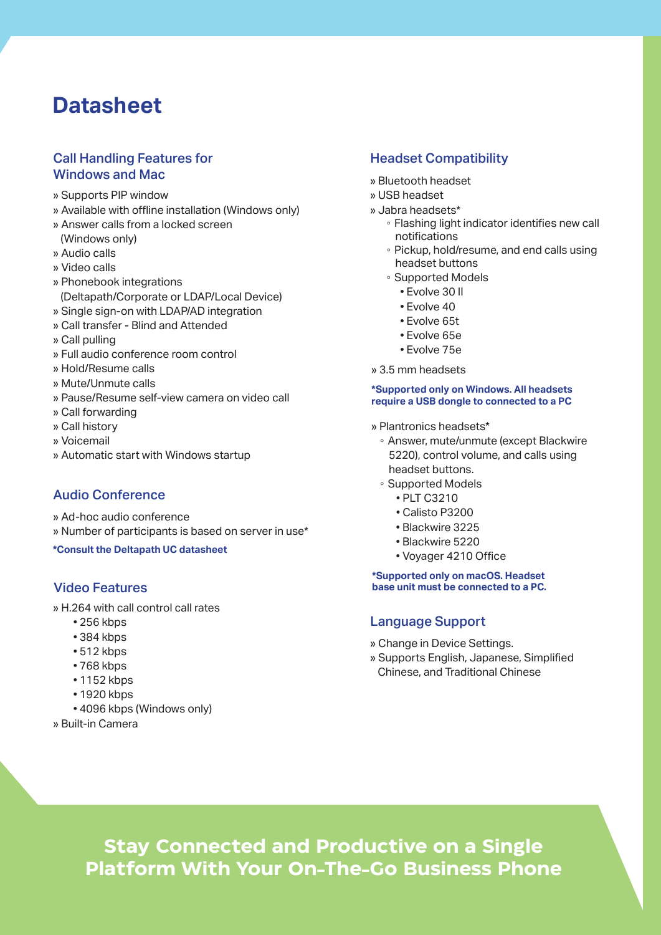# **Datasheet**

#### Call Handling Features for Windows and Mac

- » Supports PIP window
- » Available with offline installation (Windows only)
- » Answer calls from a locked screen
- (Windows only)
- » Audio calls
- » Video calls
- » Phonebook integrations (Deltapath/Corporate or LDAP/Local Device)
- » Single sign-on with LDAP/AD integration
- » Call transfer Blind and Attended
- » Call pulling
- » Full audio conference room control
- » Hold/Resume calls
- » Mute/Unmute calls
- » Pause/Resume self-view camera on video call
- » Call forwarding
- » Call history
- » Voicemail
- » Automatic start with Windows startup

#### Audio Conference

- » Ad-hoc audio conference
- » Number of participants is based on server in use\*
- **\*Consult the Deltapath UC datasheet**

#### Video Features

- » H.264 with call control call rates
	- 256 kbps
	- 384 kbps
	- $512 kbps$
	- 768 kbps
	- 1152 kbps
	- 1920 kbps
	- 4096 kbps (Windows only)
- » Built-in Camera

#### Headset Compatibility

- » Bluetooth headset
- » USB headset
- » Jabra headsets\*
	- Flashing light indicator identifies new call notifications
	- Pickup, hold/resume, and end calls using headset buttons
	- Supported Models
		- Evolve 30 II
		- Evolve 40
		- Evolve 65t
		- Evolve 65e
		- Evolve 75e
- » 3.5 mm headsets

#### **\*Supported only on Windows. All headsets require a USB dongle to connected to a PC**

- » Plantronics headsets\*
	- Answer, mute/unmute (except Blackwire 5220), control volume, and calls using headset buttons.
	- Supported Models
		- � PLT C3210
			- Calisto P3200
			- Blackwire 3225
			- Blackwire 5220
			- Voyager 4210 Office

**\*Supported only on macOS. Headset base unit must be connected to a PC.**

#### Language Support

- » Change in Device Settings.
- » Supports English, Japanese, Simplified Chinese, and Traditional Chinese

**Stay Connected and Productive on a Single Platform With Your On-The-Go Business Phone**